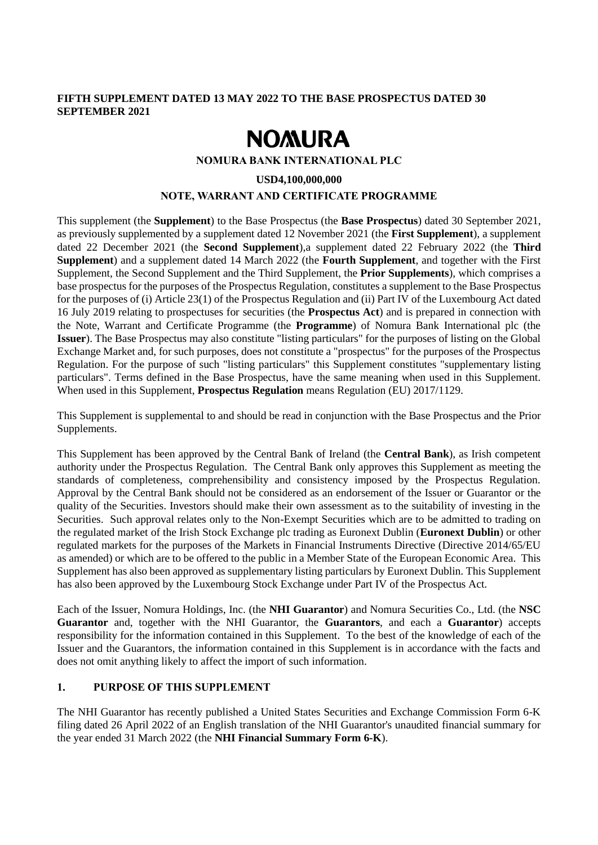## **FIFTH SUPPLEMENT DATED 13 MAY 2022 TO THE BASE PROSPECTUS DATED 30 SEPTEMBER 2021**

# **NOMURA**

#### **NOMURA BANK INTERNATIONAL PLC**

**USD4,100,000,000**

### **NOTE, WARRANT AND CERTIFICATE PROGRAMME**

This supplement (the **Supplement**) to the Base Prospectus (the **Base Prospectus**) dated 30 September 2021, as previously supplemented by a supplement dated 12 November 2021 (the **First Supplement**), a supplement dated 22 December 2021 (the **Second Supplement**),a supplement dated 22 February 2022 (the **Third Supplement**) and a supplement dated 14 March 2022 (the **Fourth Supplement**, and together with the First Supplement, the Second Supplement and the Third Supplement, the **Prior Supplements**), which comprises a base prospectus for the purposes of the Prospectus Regulation, constitutes a supplement to the Base Prospectus for the purposes of (i) Article 23(1) of the Prospectus Regulation and (ii) Part IV of the Luxembourg Act dated 16 July 2019 relating to prospectuses for securities (the **Prospectus Act**) and is prepared in connection with the Note, Warrant and Certificate Programme (the **Programme**) of Nomura Bank International plc (the **Issuer**). The Base Prospectus may also constitute "listing particulars" for the purposes of listing on the Global Exchange Market and, for such purposes, does not constitute a "prospectus" for the purposes of the Prospectus Regulation. For the purpose of such "listing particulars" this Supplement constitutes "supplementary listing particulars". Terms defined in the Base Prospectus, have the same meaning when used in this Supplement. When used in this Supplement, **Prospectus Regulation** means Regulation (EU) 2017/1129.

This Supplement is supplemental to and should be read in conjunction with the Base Prospectus and the Prior Supplements.

This Supplement has been approved by the Central Bank of Ireland (the **Central Bank**), as Irish competent authority under the Prospectus Regulation. The Central Bank only approves this Supplement as meeting the standards of completeness, comprehensibility and consistency imposed by the Prospectus Regulation. Approval by the Central Bank should not be considered as an endorsement of the Issuer or Guarantor or the quality of the Securities. Investors should make their own assessment as to the suitability of investing in the Securities. Such approval relates only to the Non-Exempt Securities which are to be admitted to trading on the regulated market of the Irish Stock Exchange plc trading as Euronext Dublin (**Euronext Dublin**) or other regulated markets for the purposes of the Markets in Financial Instruments Directive (Directive 2014/65/EU as amended) or which are to be offered to the public in a Member State of the European Economic Area. This Supplement has also been approved as supplementary listing particulars by Euronext Dublin. This Supplement has also been approved by the Luxembourg Stock Exchange under Part IV of the Prospectus Act.

Each of the Issuer, Nomura Holdings, Inc. (the **NHI Guarantor**) and Nomura Securities Co., Ltd. (the **NSC Guarantor** and, together with the NHI Guarantor, the **Guarantors**, and each a **Guarantor**) accepts responsibility for the information contained in this Supplement. To the best of the knowledge of each of the Issuer and the Guarantors, the information contained in this Supplement is in accordance with the facts and does not omit anything likely to affect the import of such information.

# **1. PURPOSE OF THIS SUPPLEMENT**

The NHI Guarantor has recently published a United States Securities and Exchange Commission Form 6-K filing dated 26 April 2022 of an English translation of the NHI Guarantor's unaudited financial summary for the year ended 31 March 2022 (the **NHI Financial Summary Form 6-K**).